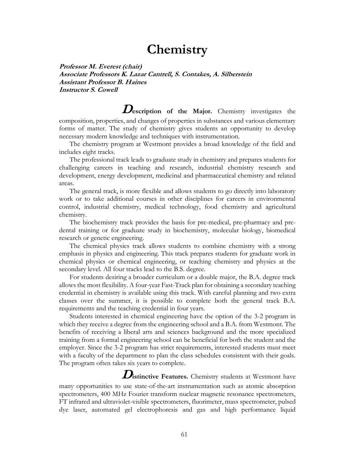# **Chemistry**

**Professor M. Everest (chair) Associate Professors K. Lazar Cantrell, S. Contakes, A. Silberstein Assistant Professor B. Haines Instructor S. Cowell**

**Description of the Major.** Chemistry investigates the composition, properties, and changes of properties in substances and various elementary forms of matter. The study of chemistry gives students an opportunity to develop necessary modern knowledge and techniques with instrumentation.

The chemistry program at Westmont provides a broad knowledge of the field and includes eight tracks.

The professional track leads to graduate study in chemistry and prepares students for challenging careers in teaching and research, industrial chemistry research and development, energy development, medicinal and pharmaceutical chemistry and related areas.

The general track, is more flexible and allows students to go directly into laboratory work or to take additional courses in other disciplines for careers in environmental control, industrial chemistry, medical technology, food chemistry and agricultural chemistry.

The biochemistry track provides the basis for pre-medical, pre-pharmacy and predental training or for graduate study in biochemistry, molecular biology, biomedical research or genetic engineering.

The chemical physics track allows students to combine chemistry with a strong emphasis in physics and engineering. This track prepares students for graduate work in chemical physics or chemical engineering, or teaching chemistry and physics at the secondary level. All four tracks lead to the B.S. degree.

For students desiring a broader curriculum or a double major, the B.A. degree track allows the most flexibility. A four-year Fast-Track plan for obtaining a secondary teaching credential in chemistry is available using this track. With careful planning and two extra classes over the summer, it is possible to complete both the general track B.A. requirements and the teaching credential in four years.

Students interested in chemical engineering have the option of the 3-2 program in which they receive a degree from the engineering school and a B.A. from Westmont. The benefits of receiving a liberal arts and sciences background and the more specialized training from a formal engineering school can be beneficial for both the student and the employer. Since the 3-2 program has strict requirements, interested students must meet with a faculty of the department to plan the class schedules consistent with their goals. The program often takes six years to complete.

**Distinctive Features.** Chemistry students at Westmont have many opportunities to use state-of-the-art instrumentation such as atomic absorption spectrometers, 400 MHz Fourier transform nuclear magnetic resonance spectrometers, FT infrared and ultraviolet-visible spectrometers, fluorimeter, mass spectrometer, pulsed dye laser, automated gel electrophoresis and gas and high performance liquid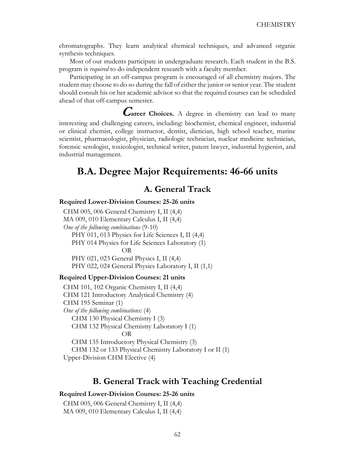chromatographs. They learn analytical chemical techniques, and advanced organic synthesis techniques.

Most of our students participate in undergraduate research. Each student in the B.S. program is *required* to do independent research with a faculty member.

Participating in an off-campus program is encouraged of all chemistry majors. The student may choose to do so during the fall of either the junior or senior year. The student should consult his or her academic advisor so that the required courses can be scheduled ahead of that off-campus semester.

**Career Choices.** A degree in chemistry can lead to many interesting and challenging careers, including: biochemist, chemical engineer, industrial or clinical chemist, college instructor, dentist, dietician, high school teacher, marine scientist, pharmacologist, physician, radiologic technician, nuclear medicine technician, forensic serologist, toxicologist, technical writer, patent lawyer, industrial hygienist, and industrial management.

# **B.A. Degree Major Requirements: 46-66 units**

# **A. General Track**

### **Required Lower-Division Courses: 25-26 units**

CHM 005, 006 General Chemistry I, II (4,4) MA 009, 010 Elementary Calculus I, II (4,4) *One of the following combinations* (9-10) PHY 011, 013 Physics for Life Sciences I, II (4,4) PHY 014 Physics for Life Sciences Laboratory (1) OR PHY 021, 023 General Physics I, II (4,4) PHY 022, 024 General Physics Laboratory I, II (1,1)

#### **Required Upper-Division Courses: 21 units**

CHM 101, 102 Organic Chemistry I, II (4,4) CHM 121 Introductory Analytical Chemistry (4) CHM 195 Seminar (1) *One of the following combinations:* (4) CHM 130 Physical Chemistry I (3) CHM 132 Physical Chemistry Laboratory I (1) OR CHM 135 Introductory Physical Chemistry (3) CHM 132 or 133 Physical Chemistry Laboratory I or II (1) Upper-Division CHM Elective (4)

### **B. General Track with Teaching Credential**

#### **Required Lower-Division Courses: 25-26 units**

CHM 005, 006 General Chemistry I, II (4,4) MA 009, 010 Elementary Calculus I, II (4,4)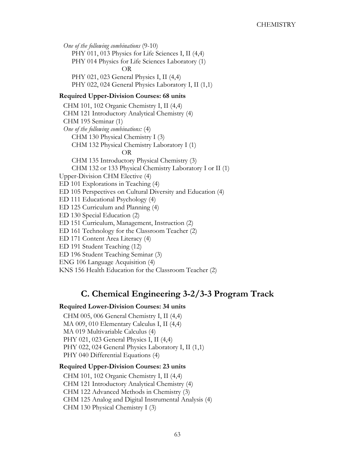*One of the following combinations* (9-10) PHY 011, 013 Physics for Life Sciences I, II (4,4) PHY 014 Physics for Life Sciences Laboratory (1) OR PHY 021, 023 General Physics I, II (4,4) PHY 022, 024 General Physics Laboratory I, II (1,1)

### **Required Upper-Division Courses: 68 units**

CHM 101, 102 Organic Chemistry I, II (4,4) CHM 121 Introductory Analytical Chemistry (4) CHM 195 Seminar (1) *One of the following combinations:* (4) CHM 130 Physical Chemistry I (3) CHM 132 Physical Chemistry Laboratory I (1) OR CHM 135 Introductory Physical Chemistry (3) CHM 132 or 133 Physical Chemistry Laboratory I or II (1) Upper-Division CHM Elective (4) ED 101 Explorations in Teaching (4) ED 105 Perspectives on Cultural Diversity and Education (4) ED 111 Educational Psychology (4) ED 125 Curriculum and Planning (4) ED 130 Special Education (2) ED 151 Curriculum, Management, Instruction (2) ED 161 Technology for the Classroom Teacher (2) ED 171 Content Area Literacy (4) ED 191 Student Teaching (12) ED 196 Student Teaching Seminar (3) ENG 106 Language Acquisition (4) KNS 156 Health Education for the Classroom Teacher (2)

# **C. Chemical Engineering 3-2/3-3 Program Track**

### **Required Lower-Division Courses: 34 units**

CHM 005, 006 General Chemistry I, II (4,4) MA 009, 010 Elementary Calculus I, II (4,4) MA 019 Multivariable Calculus (4) PHY 021, 023 General Physics I, II (4,4) PHY 022, 024 General Physics Laboratory I, II (1,1) PHY 040 Differential Equations (4)

### **Required Upper-Division Courses: 23 units**

CHM 101, 102 Organic Chemistry I, II (4,4) CHM 121 Introductory Analytical Chemistry (4) CHM 122 Advanced Methods in Chemistry (3) CHM 125 Analog and Digital Instrumental Analysis (4) CHM 130 Physical Chemistry I (3)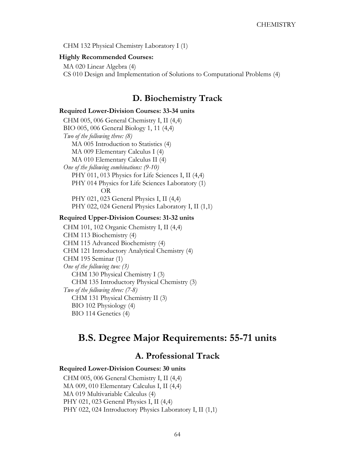CHM 132 Physical Chemistry Laboratory I (1)

### **Highly Recommended Courses:**

MA 020 Linear Algebra (4) CS 010 Design and Implementation of Solutions to Computational Problems (4)

### **D. Biochemistry Track**

#### **Required Lower-Division Courses: 33-34 units**

CHM 005, 006 General Chemistry I, II (4,4) BIO 005, 006 General Biology 1, 11 (4,4) *Two of the following three: (8)* MA 005 Introduction to Statistics (4) MA 009 Elementary Calculus I (4) MA 010 Elementary Calculus II (4) *One of the following combinations: (9-10)* PHY 011, 013 Physics for Life Sciences I, II (4,4) PHY 014 Physics for Life Sciences Laboratory (1) OR PHY 021, 023 General Physics I, II (4,4) PHY 022, 024 General Physics Laboratory I, II (1,1)

#### **Required Upper-Division Courses: 31-32 units**

CHM 101, 102 Organic Chemistry I, II (4,4) CHM 113 Biochemistry (4) CHM 115 Advanced Biochemistry (4) CHM 121 Introductory Analytical Chemistry (4) CHM 195 Seminar (1) *One of the following two: (3)* CHM 130 Physical Chemistry I (3) CHM 135 Introductory Physical Chemistry (3) *Two of the following three: (7-8)* CHM 131 Physical Chemistry II (3) BIO 102 Physiology (4) BIO 114 Genetics (4)

# **B.S. Degree Major Requirements: 55-71 units**

## **A. Professional Track**

#### **Required Lower-Division Courses: 30 units**

CHM 005, 006 General Chemistry I, II (4,4) MA 009, 010 Elementary Calculus I, II (4,4) MA 019 Multivariable Calculus (4) PHY 021, 023 General Physics I, II (4,4) PHY 022, 024 Introductory Physics Laboratory I, II (1,1)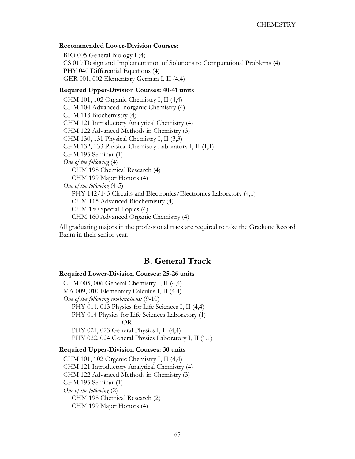#### **Recommended Lower-Division Courses:**

BIO 005 General Biology I (4) CS 010 Design and Implementation of Solutions to Computational Problems (4) PHY 040 Differential Equations (4) GER 001, 002 Elementary German I, II (4,4)

### **Required Upper-Division Courses: 40-41 units**

CHM 101, 102 Organic Chemistry I, II (4,4) CHM 104 Advanced Inorganic Chemistry (4) CHM 113 Biochemistry (4) CHM 121 Introductory Analytical Chemistry (4) CHM 122 Advanced Methods in Chemistry (3) CHM 130, 131 Physical Chemistry I, II (3,3) CHM 132, 133 Physical Chemistry Laboratory I, II (1,1) CHM 195 Seminar (1) *One of the following* (4) CHM 198 Chemical Research (4) CHM 199 Major Honors (4) *One of the following* (4-5) PHY 142/143 Circuits and Electronics/Electronics Laboratory (4,1) CHM 115 Advanced Biochemistry (4) CHM 150 Special Topics (4) CHM 160 Advanced Organic Chemistry (4)

All graduating majors in the professional track are required to take the Graduate Record Exam in their senior year.

### **B. General Track**

### **Required Lower-Division Courses: 25-26 units**

CHM 005, 006 General Chemistry I, II (4,4) MA 009, 010 Elementary Calculus I, II (4,4) *One of the following combinations:* (9-10) PHY 011, 013 Physics for Life Sciences I, II (4,4) PHY 014 Physics for Life Sciences Laboratory (1) OR PHY 021, 023 General Physics I, II (4,4) PHY 022, 024 General Physics Laboratory I, II (1,1)

#### **Required Upper-Division Courses: 30 units**

CHM 101, 102 Organic Chemistry I, II (4,4) CHM 121 Introductory Analytical Chemistry (4) CHM 122 Advanced Methods in Chemistry (3) CHM 195 Seminar (1) *One of the following* (2) CHM 198 Chemical Research (2) CHM 199 Major Honors (4)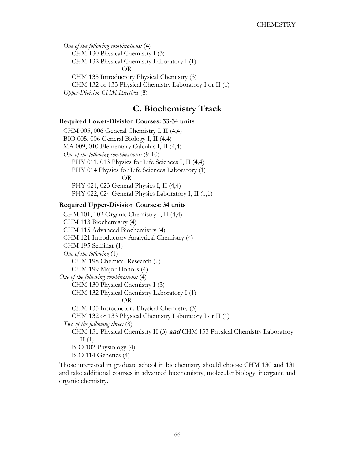*One of the following combinations:* (4) CHM 130 Physical Chemistry I (3) CHM 132 Physical Chemistry Laboratory I (1) OR CHM 135 Introductory Physical Chemistry (3) CHM 132 or 133 Physical Chemistry Laboratory I or II (1) *Upper-Division CHM Electives* (8)

# **C. Biochemistry Track**

### **Required Lower-Division Courses: 33-34 units**

CHM 005, 006 General Chemistry I, II (4,4) BIO 005, 006 General Biology I, II (4,4) MA 009, 010 Elementary Calculus I, II (4,4) *One of the following combinations:* (9-10) PHY 011, 013 Physics for Life Sciences I, II (4,4) PHY 014 Physics for Life Sciences Laboratory (1) OR PHY 021, 023 General Physics I, II (4,4) PHY 022, 024 General Physics Laboratory I, II (1,1)

### **Required Upper-Division Courses: 34 units**

CHM 101, 102 Organic Chemistry I, II (4,4) CHM 113 Biochemistry (4) CHM 115 Advanced Biochemistry (4) CHM 121 Introductory Analytical Chemistry (4) CHM 195 Seminar (1) *One of the following* (1) CHM 198 Chemical Research (1) CHM 199 Major Honors (4) *One of the following combinations:* (4) CHM 130 Physical Chemistry I (3) CHM 132 Physical Chemistry Laboratory I (1) OR CHM 135 Introductory Physical Chemistry (3) CHM 132 or 133 Physical Chemistry Laboratory I or II (1) *Two of the following three:* (8) CHM 131 Physical Chemistry II (3) **and** CHM 133 Physical Chemistry Laboratory  $II(1)$ BIO 102 Physiology (4) BIO 114 Genetics (4)

Those interested in graduate school in biochemistry should choose CHM 130 and 131 and take additional courses in advanced biochemistry, molecular biology, inorganic and organic chemistry.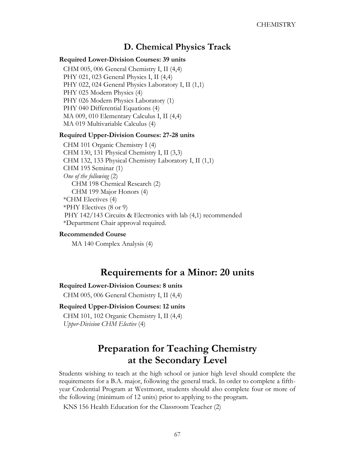# **D. Chemical Physics Track**

### **Required Lower-Division Courses: 39 units**

CHM 005, 006 General Chemistry I, II (4,4) PHY 021, 023 General Physics I, II (4,4) PHY 022, 024 General Physics Laboratory I, II (1,1) PHY 025 Modern Physics (4) PHY 026 Modern Physics Laboratory (1) PHY 040 Differential Equations (4) MA 009, 010 Elementary Calculus I, II (4,4) MA 019 Multivariable Calculus (4)

#### **Required Upper-Division Courses: 27-28 units**

CHM 101 Organic Chemistry I (4) CHM 130, 131 Physical Chemistry I, II (3,3) CHM 132, 133 Physical Chemistry Laboratory I, II (1,1) CHM 195 Seminar (1) *One of the following* (2) CHM 198 Chemical Research (2) CHM 199 Major Honors (4) \*CHM Electives (4) \*PHY Electives (8 or 9) PHY 142/143 Circuits & Electronics with lab (4,1) recommended \*Department Chair approval required.

#### **Recommended Course**

MA 140 Complex Analysis (4)

# **Requirements for a Minor: 20 units**

#### **Required Lower-Division Courses: 8 units**

CHM 005, 006 General Chemistry I, II (4,4)

### **Required Upper-Division Courses: 12 units**

CHM 101, 102 Organic Chemistry I, II (4,4) *Upper-Division CHM Elective* (4)

# **Preparation for Teaching Chemistry at the Secondary Level**

Students wishing to teach at the high school or junior high level should complete the requirements for a B.A. major, following the general track. In order to complete a fifthyear Credential Program at Westmont, students should also complete four or more of the following (minimum of 12 units) prior to applying to the program.

KNS 156 Health Education for the Classroom Teacher (2)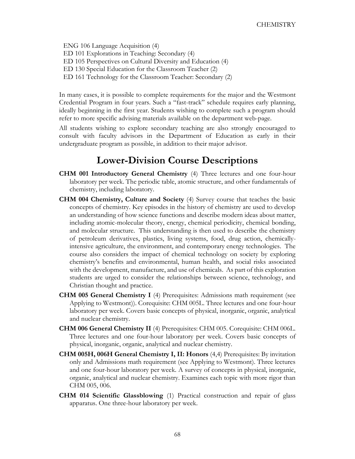ENG 106 Language Acquisition (4) ED 101 Explorations in Teaching: Secondary (4) ED 105 Perspectives on Cultural Diversity and Education (4) ED 130 Special Education for the Classroom Teacher (2) ED 161 Technology for the Classroom Teacher: Secondary (2)

In many cases, it is possible to complete requirements for the major and the Westmont Credential Program in four years. Such a "fast-track" schedule requires early planning, ideally beginning in the first year. Students wishing to complete such a program should refer to more specific advising materials available on the department web-page.

All students wishing to explore secondary teaching are also strongly encouraged to consult with faculty advisors in the Department of Education as early in their undergraduate program as possible, in addition to their major advisor.

# **Lower-Division Course Descriptions**

- **CHM 001 Introductory General Chemistry** (4) Three lectures and one four-hour laboratory per week. The periodic table, atomic structure, and other fundamentals of chemistry, including laboratory.
- **CHM 004 Chemistry, Culture and Society** (4) Survey course that teaches the basic concepts of chemistry. Key episodes in the history of chemistry are used to develop an understanding of how science functions and describe modern ideas about matter, including atomic-molecular theory, energy, chemical periodicity, chemical bonding, and molecular structure. This understanding is then used to describe the chemistry of petroleum derivatives, plastics, living systems, food, drug action, chemicallyintensive agriculture, the environment, and contemporary energy technologies. The course also considers the impact of chemical technology on society by exploring chemistry's benefits and environmental, human health, and social risks associated with the development, manufacture, and use of chemicals. As part of this exploration students are urged to consider the relationships between science, technology, and Christian thought and practice.
- **CHM 005 General Chemistry I** (4) Prerequisites: Admissions math requirement (see Applying to Westmont)). Corequisite: CHM 005L. Three lectures and one four-hour laboratory per week. Covers basic concepts of physical, inorganic, organic, analytical and nuclear chemistry.
- **CHM 006 General Chemistry II** (4) Prerequisites: CHM 005. Corequisite: CHM 006L. Three lectures and one four-hour laboratory per week. Covers basic concepts of physical, inorganic, organic, analytical and nuclear chemistry.
- **CHM 005H, 006H General Chemistry I, II: Honors** (4,4) Prerequisites: By invitation only and Admissions math requirement (see Applying to Westmont). Three lectures and one four-hour laboratory per week. A survey of concepts in physical, inorganic, organic, analytical and nuclear chemistry. Examines each topic with more rigor than CHM 005, 006.
- **CHM 014 Scientific Glassblowing** (1) Practical construction and repair of glass apparatus. One three-hour laboratory per week.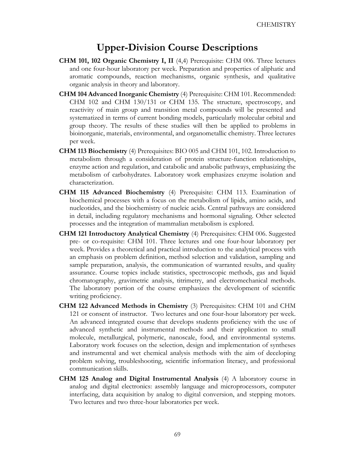# **Upper-Division Course Descriptions**

- **CHM 101, 102 Organic Chemistry I, II** (4,4) Prerequisite: CHM 006. Three lectures and one four-hour laboratory per week. Preparation and properties of aliphatic and aromatic compounds, reaction mechanisms, organic synthesis, and qualitative organic analysis in theory and laboratory.
- **CHM 104 Advanced Inorganic Chemistry** (4) Prerequisite: CHM 101. Recommended: CHM 102 and CHM 130/131 or CHM 135. The structure, spectroscopy, and reactivity of main group and transition metal compounds will be presented and systematized in terms of current bonding models, particularly molecular orbital and group theory. The results of these studies will then be applied to problems in bioinorganic, materials, environmental, and organometallic chemistry. Three lectures per week.
- **CHM 113 Biochemistry** (4) Prerequisites: BIO 005 and CHM 101, 102. Introduction to metabolism through a consideration of protein structure-function relationships, enzyme action and regulation, and catabolic and anabolic pathways, emphasizing the metabolism of carbohydrates. Laboratory work emphasizes enzyme isolation and characterization.
- **CHM 115 Advanced Biochemistry** (4) Prerequisite: CHM 113. Examination of biochemical processes with a focus on the metabolism of lipids, amino acids, and nucleotides, and the biochemistry of nucleic acids. Central pathways are considered in detail, including regulatory mechanisms and hormonal signaling. Other selected processes and the integration of mammalian metabolism is explored.
- **CHM 121 Introductory Analytical Chemistry** (4) Prerequisites: CHM 006. Suggested pre- or co-requisite: CHM 101. Three lectures and one four-hour laboratory per week. Provides a theoretical and practical introduction to the analytical process with an emphasis on problem definition, method selection and validation, sampling and sample preparation, analysis, the communication of warranted results, and quality assurance. Course topics include statistics, spectroscopic methods, gas and liquid chromatography, gravimetric analysis, titrimetry, and electromechanical methods. The laboratory portion of the course emphasizes the development of scientific writing proficiency.
- **CHM 122 Advanced Methods in Chemistry** (3) Prerequisites: CHM 101 and CHM 121 or consent of instructor. Two lectures and one four-hour laboratory per week. An advanced integrated course that develops students proficiency with the use of advanced synthetic and instrumental methods and their application to small molecule, metallurgical, polymeric, nanoscale, food, and environmental systems. Laboratory work focuses on the selection, design and implementation of syntheses and instrumental and wet chemical analysis methods with the aim of deceloping problem solving, troubleshooting, scientific information literacy, and professional communication skills.
- **CHM 125 Analog and Digital Instrumental Analysis** (4) A laboratory course in analog and digital electronics: assembly language and microprocessors, computer interfacing, data acquisition by analog to digital conversion, and stepping motors. Two lectures and two three-hour laboratories per week.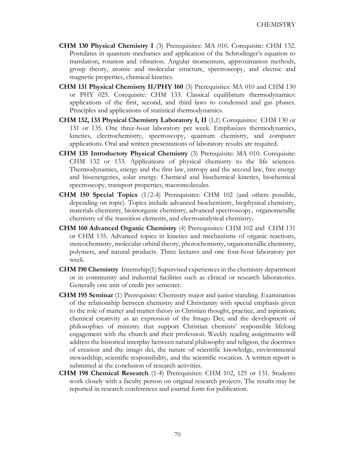- **CHM 130 Physical Chemistry I** (3) Prerequisites: MA 010. Corequisite: CHM 132. Postulates in quantum mechanics and application of the Schrodinger's equation to translation, rotation and vibration. Angular momentum, approximation methods, group theory, atomic and molecular structure, spectroscopy, and electric and magnetic properties, chemical kinetics.
- **CHM 131 Physical Chemistry II/PHY 160** (3) Prerequisites: MA 010 and CHM 130 or PHY 025. Corequisite: CHM 133. Classical equilibrium thermodynamics: applications of the first, second, and third laws to condensed and gas phases. Principles and applications of statistical thermodynamics.
- **CHM 132, 133 Physical Chemistry Laboratory I, II** (1,1) Corequisites: CHM 130 or 131 or 135. One three-hour laboratory per week. Emphasizes thermodynamics, kinetics, electrochemistry, spectroscopy, quantum chemistry, and computer applications. Oral and written presentations of laboratory results are required.
- **CHM 135 Introductory Physical Chemistry** (3) Prerequisite: MA 010. Corequisite: CHM 132 or 133. Applications of physical chemistry to the life sciences. Thermodynamics, energy and the first law, entropy and the second law, free energy and bioenergetics, solar energy. Chemical and biochemical kinetics, biochemical spectroscopy, transport properties, macromolecules.
- **CHM 150 Special Topics** (1/2-4) Prerequisites: CHM 102 (and others possible, depending on topic). Topics include advanced biochemistry, biophysical chemistry, materials chemistry, bioinorganic chemistry, advanced spectroscopy, organometallic chemistry of the transition elements, and electroanalytical chemistry**.**
- **CHM 160 Advanced Organic Chemistry** (4) Prerequisites: CHM 102 and CHM 131 or CHM 135. Advanced topics in kinetics and mechanisms of organic reactions, stereochemistry, molecular orbital theory, photochemistry, organometallic chemistry, polymers, and natural products. Three lectures and one four-hour laboratory per week.
- **CHM 190 Chemistry** Internship(1) Supervised experiences in the chemistry department or in community and industrial facilities such as clinical or research laboratories. Generally one unit of credit per semester.
- **CHM 195 Seminar** (1) Prerequisite: Chemistry major and junior standing. Examination of the relationship between chemistry and Christianity with special emphasis given to the role of matter and matter theory in Christian thought, practice, and aspiration; chemical creativity as an expression of the Imago Dei; and the development of philosophies of ministry that support Christian chemists' responsible lifelong engagement with the church and their profession. Weekly reading assignments will address the historical interplay between natural philosophy and religion, the doctrines of creation and the imago dei, the nature of scientific knowledge, environmental stewardship, scientific responsibility, and the scientific vocation. A written report is submitted at the conclusion of research activities.
- **CHM 198 Chemical Research** (1-4) Prerequisites: CHM 102, 125 or 131. Students work closely with a faculty person on original research projects. The results may be reported in research conferences and journal form for publication*.*